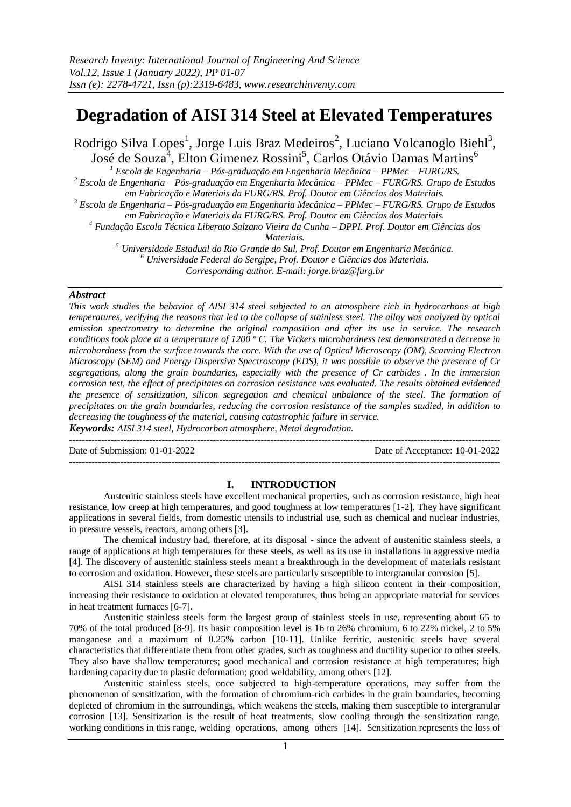# **Degradation of AISI 314 Steel at Elevated Temperatures**

Rodrigo Silva Lopes<sup>1</sup>, Jorge Luis Braz Medeiros<sup>2</sup>, Luciano Volcanoglo Biehl<sup>3</sup>, José de Souza<sup>4</sup>, Elton Gimenez Rossini<sup>5</sup>, Carlos Otávio Damas Martins<sup>6</sup>

*<sup>1</sup> Escola de Engenharia – Pós-graduação em Engenharia Mecânica – PPMec – FURG/RS.* 

*<sup>2</sup> Escola de Engenharia – Pós-graduação em Engenharia Mecânica – PPMec – FURG/RS. Grupo de Estudos em Fabricação e Materiais da FURG/RS. Prof. Doutor em Ciências dos Materiais.*

*<sup>3</sup> Escola de Engenharia – Pós-graduação em Engenharia Mecânica – PPMec – FURG/RS. Grupo de Estudos* 

*em Fabricação e Materiais da FURG/RS. Prof. Doutor em Ciências dos Materiais.* 

*<sup>4</sup> Fundação Escola Técnica Liberato Salzano Vieira da Cunha – DPPI. Prof. Doutor em Ciências dos* 

*Materiais.* 

*<sup>5</sup> Universidade Estadual do Rio Grande do Sul, Prof. Doutor em Engenharia Mecânica. <sup>6</sup> Universidade Federal do Sergipe, Prof. Doutor e Ciências dos Materiais. Corresponding author. E-mail[: jorge.braz@furg.br](mailto:jorge.braz@furg.br)*

# *Abstract*

*This work studies the behavior of AISI 314 steel subjected to an atmosphere rich in hydrocarbons at high temperatures, verifying the reasons that led to the collapse of stainless steel. The alloy was analyzed by optical emission spectrometry to determine the original composition and after its use in service. The research conditions took place at a temperature of 1200 º C. The Vickers microhardness test demonstrated a decrease in microhardness from the surface towards the core. With the use of Optical Microscopy (OM), Scanning Electron Microscopy (SEM) and Energy Dispersive Spectroscopy (EDS), it was possible to observe the presence of Cr segregations, along the grain boundaries, especially with the presence of Cr carbides . In the immersion corrosion test, the effect of precipitates on corrosion resistance was evaluated. The results obtained evidenced the presence of sensitization, silicon segregation and chemical unbalance of the steel. The formation of precipitates on the grain boundaries, reducing the corrosion resistance of the samples studied, in addition to decreasing the toughness of the material, causing catastrophic failure in service.*

*Keywords: AISI 314 steel, Hydrocarbon atmosphere, Metal degradation.*

Date of Submission: 01-01-2022 Date of Acceptance: 10-01-2022

---------------------------------------------------------------------------------------------------------------------------------------

#### **I. INTRODUCTION**

---------------------------------------------------------------------------------------------------------------------------------------

Austenitic stainless steels have excellent mechanical properties, such as corrosion resistance, high heat resistance, low creep at high temperatures, and good toughness at low temperatures [1-2]. They have significant applications in several fields, from domestic utensils to industrial use, such as chemical and nuclear industries, in pressure vessels, reactors, among others [3].

The chemical industry had, therefore, at its disposal - since the advent of austenitic stainless steels, a range of applications at high temperatures for these steels, as well as its use in installations in aggressive media [4]. The discovery of austenitic stainless steels meant a breakthrough in the development of materials resistant to corrosion and oxidation. However, these steels are particularly susceptible to intergranular corrosion [5].

AISI 314 stainless steels are characterized by having a high silicon content in their composition, increasing their resistance to oxidation at elevated temperatures, thus being an appropriate material for services in heat treatment furnaces [6-7].

Austenitic stainless steels form the largest group of stainless steels in use, representing about 65 to 70% of the total produced [8-9]. Its basic composition level is 16 to 26% chromium, 6 to 22% nickel, 2 to 5% manganese and a maximum of 0.25% carbon [10-11]. Unlike ferritic, austenitic steels have several characteristics that differentiate them from other grades, such as toughness and ductility superior to other steels. They also have shallow temperatures; good mechanical and corrosion resistance at high temperatures; high hardening capacity due to plastic deformation; good weldability, among others [12].

Austenitic stainless steels, once subjected to high-temperature operations, may suffer from the phenomenon of sensitization, with the formation of chromium-rich carbides in the grain boundaries, becoming depleted of chromium in the surroundings, which weakens the steels, making them susceptible to intergranular corrosion [13]. Sensitization is the result of heat treatments, slow cooling through the sensitization range, working conditions in this range, welding operations, among others [14]. Sensitization represents the loss of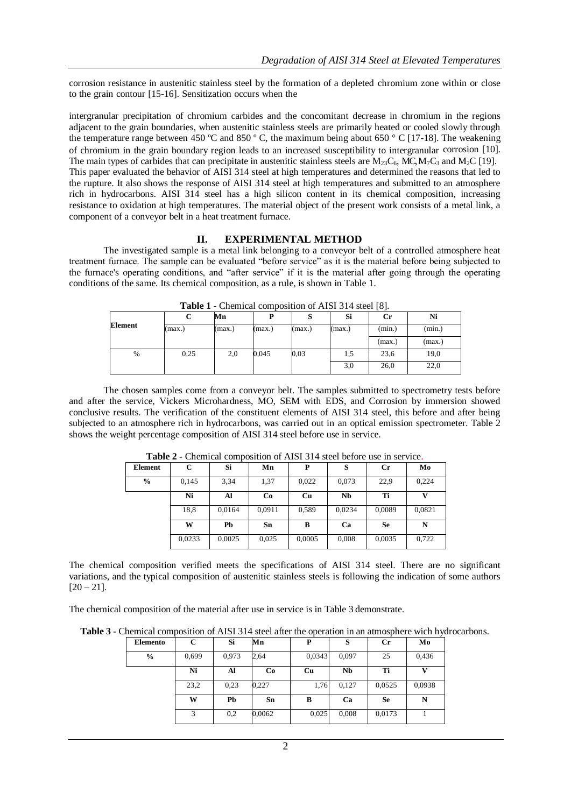corrosion resistance in austenitic stainless steel by the formation of a depleted chromium zone within or close to the grain contour [15-16]. Sensitization occurs when the

intergranular precipitation of chromium carbides and the concomitant decrease in chromium in the regions adjacent to the grain boundaries, when austenitic stainless steels are primarily heated or cooled slowly through the temperature range between 450 ºC and 850 º C, the maximum being about 650 ° C [17-18]. The weakening of chromium in the grain boundary region leads to an increased susceptibility to intergranular corrosion [10]. The main types of carbides that can precipitate in austenitic stainless steels are  $M_{23}C_6$ , MC,  $M_7C_3$  and  $M_2C$  [19]. This paper evaluated the behavior of AISI 314 steel at high temperatures and determined the reasons that led to the rupture. It also shows the response of AISI 314 steel at high temperatures and submitted to an atmosphere rich in hydrocarbons. AISI 314 steel has a high silicon content in its chemical composition, increasing resistance to oxidation at high temperatures. The material object of the present work consists of a metal link, a component of a conveyor belt in a heat treatment furnace.

#### **II. EXPERIMENTAL METHOD**

The investigated sample is a metal link belonging to a conveyor belt of a controlled atmosphere heat treatment furnace. The sample can be evaluated "before service" as it is the material before being subjected to the furnace's operating conditions, and "after service" if it is the material after going through the operating conditions of the same. Its chemical composition, as a rule, is shown in Table 1.

|         |        |        |        |        |        | . .       |        |
|---------|--------|--------|--------|--------|--------|-----------|--------|
|         | ◡      | Мn     |        | S      | Si     | <b>Cr</b> | Ni     |
| Element | (max.) | (max.) | (max.) | (max.) | (max.) | (min.)    | (min.) |
|         |        |        |        |        |        | (max.)    | (max.) |
| %       | 0.25   | 2,0    | 0,045  | 0,03   | 1,5    | 23,6      | 19,0   |
|         |        |        |        |        | 3,0    | 26,0      | 22,0   |

**Table 1 -** Chemical composition of AISI 314 steel [8].

The chosen samples come from a conveyor belt. The samples submitted to spectrometry tests before and after the service, Vickers Microhardness, MO, SEM with EDS, and Corrosion by immersion showed conclusive results. The verification of the constituent elements of AISI 314 steel, this before and after being subjected to an atmosphere rich in hydrocarbons, was carried out in an optical emission spectrometer. Table 2 shows the weight percentage composition of AISI 314 steel before use in service.

| <b>THEIR A</b> - Chemical composition of Their star week octore use in service. |        |        |        |           |        |           |        |  |  |
|---------------------------------------------------------------------------------|--------|--------|--------|-----------|--------|-----------|--------|--|--|
| Element                                                                         |        | Si     | Mn     |           |        | Сr        | Mo     |  |  |
| $\frac{0}{0}$                                                                   | 0.145  | 3,34   | 1,37   | 0,022     | 0.073  | 22,9      | 0,224  |  |  |
|                                                                                 | Ni     | Al     | Co     | <b>Cu</b> | Nb     | Ti        | v      |  |  |
|                                                                                 | 18,8   | 0.0164 | 0,0911 | 0.589     | 0.0234 | 0,0089    | 0,0821 |  |  |
|                                                                                 | W      | Pb     | Sn     | B         | Ca     | <b>Se</b> | N      |  |  |
|                                                                                 | 0.0233 | 0,0025 | 0,025  | 0,0005    | 0,008  | 0,0035    | 0,722  |  |  |

**Table 2 -** Chemical composition of AISI 314 steel before use in service.

The chemical composition verified meets the specifications of AISI 314 steel. There are no significant variations, and the typical composition of austenitic stainless steels is following the indication of some authors  $[20 - 21]$ .

The chemical composition of the material after use in service is in Table 3 demonstrate.

**Table 3 -** Chemical composition of AISI 314 steel after the operation in an atmosphere wich hydrocarbons.

| Elemento      | С     | Si    | Mn     | P      | S         | $_{\rm Cr}$ | Mo     |
|---------------|-------|-------|--------|--------|-----------|-------------|--------|
| $\frac{6}{6}$ | 0,699 | 0.973 | 2,64   | 0,0343 | 0,097     | 25          | 0.436  |
|               | Ni    | Al    | Co     | Cu     | <b>Nb</b> | Ti          |        |
|               | 23,2  | 0,23  | 0,227  | 1,76   | 0,127     | 0,0525      | 0.0938 |
|               | W     | Pb    | Sn     | B      | Ca        | <b>Se</b>   | N      |
|               | 3     | 0,2   | 0,0062 | 0,025  | 0,008     | 0,0173      |        |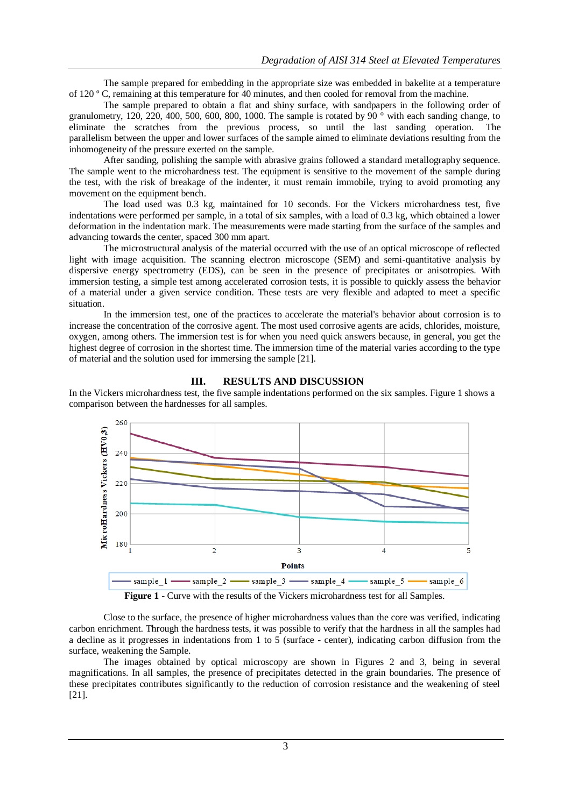The sample prepared for embedding in the appropriate size was embedded in bakelite at a temperature of 120 º C, remaining at this temperature for 40 minutes, and then cooled for removal from the machine.

The sample prepared to obtain a flat and shiny surface, with sandpapers in the following order of granulometry, 120, 220, 400, 500, 600, 800, 1000. The sample is rotated by 90 $\degree$  with each sanding change, to eliminate the scratches from the previous process, so until the last sanding operation. The parallelism between the upper and lower surfaces of the sample aimed to eliminate deviations resulting from the inhomogeneity of the pressure exerted on the sample.

After sanding, polishing the sample with abrasive grains followed a standard metallography sequence. The sample went to the microhardness test. The equipment is sensitive to the movement of the sample during the test, with the risk of breakage of the indenter, it must remain immobile, trying to avoid promoting any movement on the equipment bench.

The load used was 0.3 kg, maintained for 10 seconds. For the Vickers microhardness test, five indentations were performed per sample, in a total of six samples, with a load of 0.3 kg, which obtained a lower deformation in the indentation mark. The measurements were made starting from the surface of the samples and advancing towards the center, spaced 300 mm apart.

The microstructural analysis of the material occurred with the use of an optical microscope of reflected light with image acquisition. The scanning electron microscope (SEM) and semi-quantitative analysis by dispersive energy spectrometry (EDS), can be seen in the presence of precipitates or anisotropies. With immersion testing, a simple test among accelerated corrosion tests, it is possible to quickly assess the behavior of a material under a given service condition. These tests are very flexible and adapted to meet a specific situation.

In the immersion test, one of the practices to accelerate the material's behavior about corrosion is to increase the concentration of the corrosive agent. The most used corrosive agents are acids, chlorides, moisture, oxygen, among others. The immersion test is for when you need quick answers because, in general, you get the highest degree of corrosion in the shortest time. The immersion time of the material varies according to the type of material and the solution used for immersing the sample [21].

## **III. RESULTS AND DISCUSSION**

In the Vickers microhardness test, the five sample indentations performed on the six samples. Figure 1 shows a comparison between the hardnesses for all samples.



**Figure 1** - Curve with the results of the Vickers microhardness test for all Samples.

Close to the surface, the presence of higher microhardness values than the core was verified, indicating carbon enrichment. Through the hardness tests, it was possible to verify that the hardness in all the samples had a decline as it progresses in indentations from 1 to 5 (surface - center), indicating carbon diffusion from the surface, weakening the Sample.

The images obtained by optical microscopy are shown in Figures 2 and 3, being in several magnifications. In all samples, the presence of precipitates detected in the grain boundaries. The presence of these precipitates contributes significantly to the reduction of corrosion resistance and the weakening of steel [21].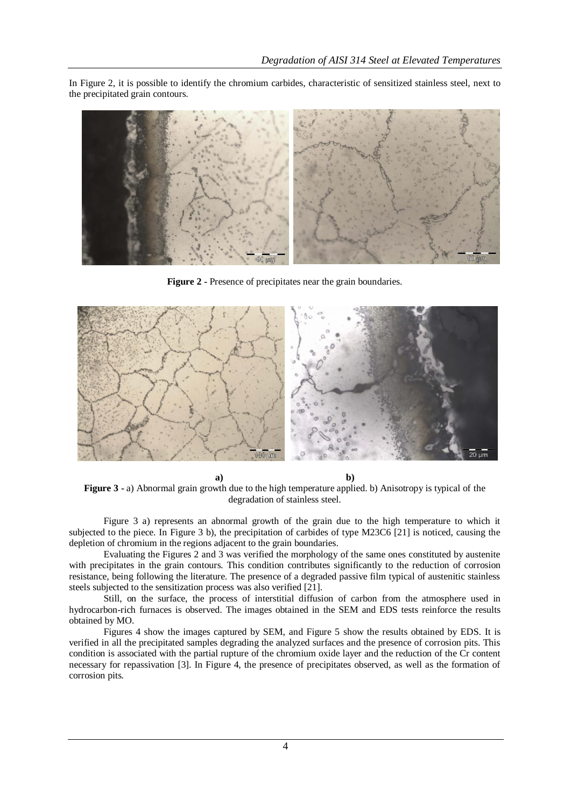In Figure 2, it is possible to identify the chromium carbides, characteristic of sensitized stainless steel, next to the precipitated grain contours.



**Figure 2 -** Presence of precipitates near the grain boundaries.



**a) b) Figure 3** - a) Abnormal grain growth due to the high temperature applied. b) Anisotropy is typical of the degradation of stainless steel.

Figure 3 a) represents an abnormal growth of the grain due to the high temperature to which it subjected to the piece. In Figure 3 b), the precipitation of carbides of type M23C6 [21] is noticed, causing the depletion of chromium in the regions adjacent to the grain boundaries.

Evaluating the Figures 2 and 3 was verified the morphology of the same ones constituted by austenite with precipitates in the grain contours. This condition contributes significantly to the reduction of corrosion resistance, being following the literature. The presence of a degraded passive film typical of austenitic stainless steels subjected to the sensitization process was also verified [21].

Still, on the surface, the process of interstitial diffusion of carbon from the atmosphere used in hydrocarbon-rich furnaces is observed. The images obtained in the SEM and EDS tests reinforce the results obtained by MO.

Figures 4 show the images captured by SEM, and Figure 5 show the results obtained by EDS. It is verified in all the precipitated samples degrading the analyzed surfaces and the presence of corrosion pits. This condition is associated with the partial rupture of the chromium oxide layer and the reduction of the Cr content necessary for repassivation [3]. In Figure 4, the presence of precipitates observed, as well as the formation of corrosion pits.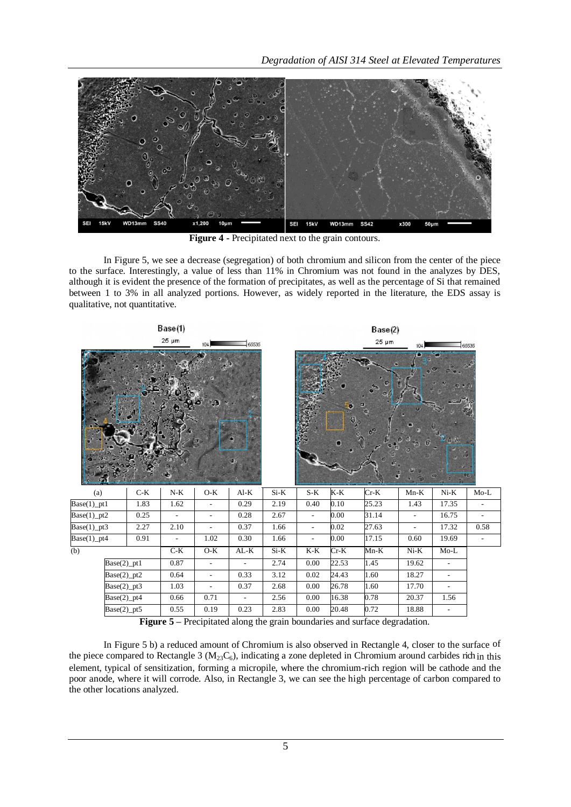

**Figure 4 -** Precipitated next to the grain contours.

In Figure 5, we see a decrease (segregation) of both chromium and silicon from the center of the piece to the surface. Interestingly, a value of less than 11% in Chromium was not found in the analyzes by DES, although it is evident the presence of the formation of precipitates, as well as the percentage of Si that remained between 1 to 3% in all analyzed portions. However, as widely reported in the literature, the EDS assay is qualitative, not quantitative.



**Figure 5 –** Precipitated along the grain boundaries and surface degradation.

In Figure 5 b) a reduced amount of Chromium is also observed in Rectangle 4, closer to the surface of the piece compared to Rectangle 3 ( $M_{23}C_6$ ), indicating a zone depleted in Chromium around carbides rich in this element, typical of sensitization, forming a micropile, where the chromium-rich region will be cathode and the poor anode, where it will corrode. Also, in Rectangle 3, we can see the high percentage of carbon compared to the other locations analyzed.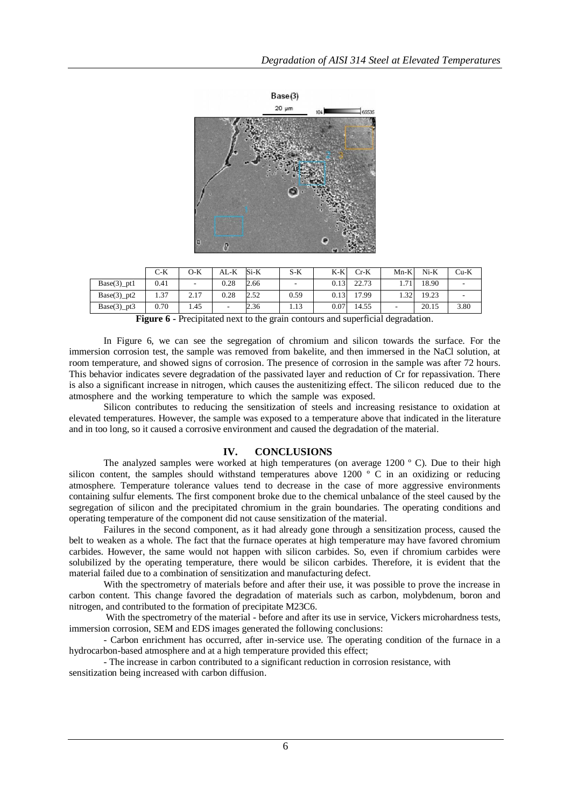

|                             | C-K  | O-K                      | AL-K | Si-K | $S-K$ | K-K  | Cr-K  | $Mn-K$ | $Ni-K$ | $Cu-K$ |
|-----------------------------|------|--------------------------|------|------|-------|------|-------|--------|--------|--------|
| $Base(3)$ _pt1              | 0.41 | $\overline{\phantom{a}}$ | 0.28 | 2.66 |       | 0.13 | 22.73 | 1.71   | 18.90  |        |
| $Base(3)$ _pt2              | 1.37 | 2.17                     | 0.28 | 2.52 | 0.59  | 0.13 | 17.99 | 1.32   | 19.23  |        |
| $Base(3)$ <sub>pt</sub> $3$ | 0.70 | 1.45                     |      | 2.36 | 1.13  | 0.07 | 14.55 | -      | 20.15  | 3.80   |

**Figure 6** - Precipitated next to the grain contours and superficial degradation.

In Figure 6, we can see the segregation of chromium and silicon towards the surface. For the immersion corrosion test, the sample was removed from bakelite, and then immersed in the NaCl solution, at room temperature, and showed signs of corrosion. The presence of corrosion in the sample was after 72 hours. This behavior indicates severe degradation of the passivated layer and reduction of Cr for repassivation. There is also a significant increase in nitrogen, which causes the austenitizing effect. The silicon reduced due to the atmosphere and the working temperature to which the sample was exposed.

Silicon contributes to reducing the sensitization of steels and increasing resistance to oxidation at elevated temperatures. However, the sample was exposed to a temperature above that indicated in the literature and in too long, so it caused a corrosive environment and caused the degradation of the material.

## **IV. CONCLUSIONS**

The analyzed samples were worked at high temperatures (on average 1200 °C). Due to their high silicon content, the samples should withstand temperatures above 1200 ° C in an oxidizing or reducing atmosphere. Temperature tolerance values tend to decrease in the case of more aggressive environments containing sulfur elements. The first component broke due to the chemical unbalance of the steel caused by the segregation of silicon and the precipitated chromium in the grain boundaries. The operating conditions and operating temperature of the component did not cause sensitization of the material.

Failures in the second component, as it had already gone through a sensitization process, caused the belt to weaken as a whole. The fact that the furnace operates at high temperature may have favored chromium carbides. However, the same would not happen with silicon carbides. So, even if chromium carbides were solubilized by the operating temperature, there would be silicon carbides. Therefore, it is evident that the material failed due to a combination of sensitization and manufacturing defect.

With the spectrometry of materials before and after their use, it was possible to prove the increase in carbon content. This change favored the degradation of materials such as carbon, molybdenum, boron and nitrogen, and contributed to the formation of precipitate M23C6.

With the spectrometry of the material - before and after its use in service, Vickers microhardness tests, immersion corrosion, SEM and EDS images generated the following conclusions:

- Carbon enrichment has occurred, after in-service use. The operating condition of the furnace in a hydrocarbon-based atmosphere and at a high temperature provided this effect;

- The increase in carbon contributed to a significant reduction in corrosion resistance, with sensitization being increased with carbon diffusion.